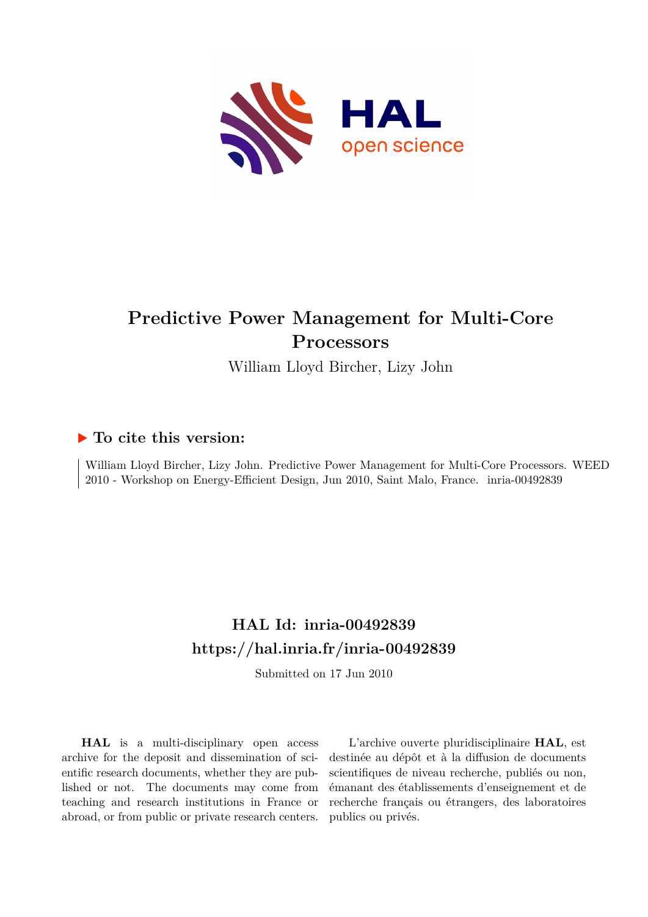

# **Predictive Power Management for Multi-Core Processors**

William Lloyd Bircher, Lizy John

### **To cite this version:**

William Lloyd Bircher, Lizy John. Predictive Power Management for Multi-Core Processors. WEED 2010 - Workshop on Energy-Efficient Design, Jun 2010, Saint Malo, France. inria-00492839

## **HAL Id: inria-00492839 <https://hal.inria.fr/inria-00492839>**

Submitted on 17 Jun 2010

**HAL** is a multi-disciplinary open access archive for the deposit and dissemination of scientific research documents, whether they are published or not. The documents may come from teaching and research institutions in France or abroad, or from public or private research centers.

L'archive ouverte pluridisciplinaire **HAL**, est destinée au dépôt et à la diffusion de documents scientifiques de niveau recherche, publiés ou non, émanant des établissements d'enseignement et de recherche français ou étrangers, des laboratoires publics ou privés.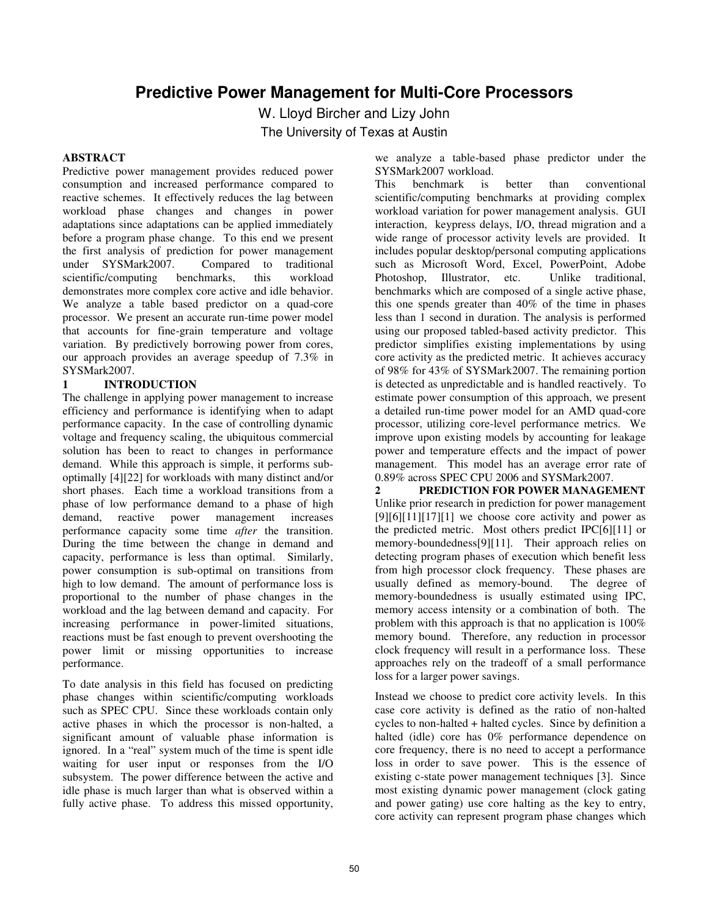### **Predictive Power Management for Multi-Core Processors**

W. Lloyd Bircher and Lizy John

The University of Texas at Austin

#### **ABSTRACT**

Predictive power management provides reduced power consumption and increased performance compared to reactive schemes. It effectively reduces the lag between workload phase changes and changes in power adaptations since adaptations can be applied immediately before a program phase change. To this end we present the first analysis of prediction for power management<br>under SYSMark2007. Compared to traditional under SYSMark2007. Compared to traditional scientific/computing benchmarks, this workload demonstrates more complex core active and idle behavior. We analyze a table based predictor on a quad-core processor. We present an accurate run-time power model that accounts for fine-grain temperature and voltage variation. By predictively borrowing power from cores, our approach provides an average speedup of 7.3% in SYSMark2007.

#### **1 INTRODUCTION**

The challenge in applying power management to increase efficiency and performance is identifying when to adapt performance capacity. In the case of controlling dynamic voltage and frequency scaling, the ubiquitous commercial solution has been to react to changes in performance demand. While this approach is simple, it performs suboptimally [4][22] for workloads with many distinct and/or short phases. Each time a workload transitions from a phase of low performance demand to a phase of high demand, reactive power management increases performance capacity some time *after* the transition. During the time between the change in demand and capacity, performance is less than optimal. Similarly, power consumption is sub-optimal on transitions from high to low demand. The amount of performance loss is proportional to the number of phase changes in the workload and the lag between demand and capacity. For increasing performance in power-limited situations, reactions must be fast enough to prevent overshooting the power limit or missing opportunities to increase performance.

To date analysis in this field has focused on predicting phase changes within scientific/computing workloads such as SPEC CPU. Since these workloads contain only active phases in which the processor is non-halted, a significant amount of valuable phase information is ignored. In a "real" system much of the time is spent idle waiting for user input or responses from the I/O subsystem. The power difference between the active and idle phase is much larger than what is observed within a fully active phase. To address this missed opportunity, we analyze a table-based phase predictor under the SYSMark2007 workload.

This benchmark is better than conventional scientific/computing benchmarks at providing complex workload variation for power management analysis. GUI interaction, keypress delays, I/O, thread migration and a wide range of processor activity levels are provided. It includes popular desktop/personal computing applications such as Microsoft Word, Excel, PowerPoint, Adobe Photoshop, Illustrator, etc. Unlike traditional, benchmarks which are composed of a single active phase, this one spends greater than 40% of the time in phases less than 1 second in duration. The analysis is performed using our proposed tabled-based activity predictor. This predictor simplifies existing implementations by using core activity as the predicted metric. It achieves accuracy of 98% for 43% of SYSMark2007. The remaining portion is detected as unpredictable and is handled reactively. To estimate power consumption of this approach, we present a detailed run-time power model for an AMD quad-core processor, utilizing core-level performance metrics. We improve upon existing models by accounting for leakage power and temperature effects and the impact of power management. This model has an average error rate of 0.89% across SPEC CPU 2006 and SYSMark2007.

**2 PREDICTION FOR POWER MANAGEMENT**  Unlike prior research in prediction for power management  $[9][6][11][17][1]$  we choose core activity and power as the predicted metric. Most others predict IPC[6][11] or memory-boundedness[9][11]. Their approach relies on detecting program phases of execution which benefit less from high processor clock frequency. These phases are usually defined as memory-bound. The degree of memory-boundedness is usually estimated using IPC, memory access intensity or a combination of both. The problem with this approach is that no application is 100% memory bound. Therefore, any reduction in processor clock frequency will result in a performance loss. These approaches rely on the tradeoff of a small performance loss for a larger power savings.

Instead we choose to predict core activity levels. In this case core activity is defined as the ratio of non-halted cycles to non-halted + halted cycles. Since by definition a halted (idle) core has 0% performance dependence on core frequency, there is no need to accept a performance loss in order to save power. This is the essence of existing c-state power management techniques [3]. Since most existing dynamic power management (clock gating and power gating) use core halting as the key to entry, core activity can represent program phase changes which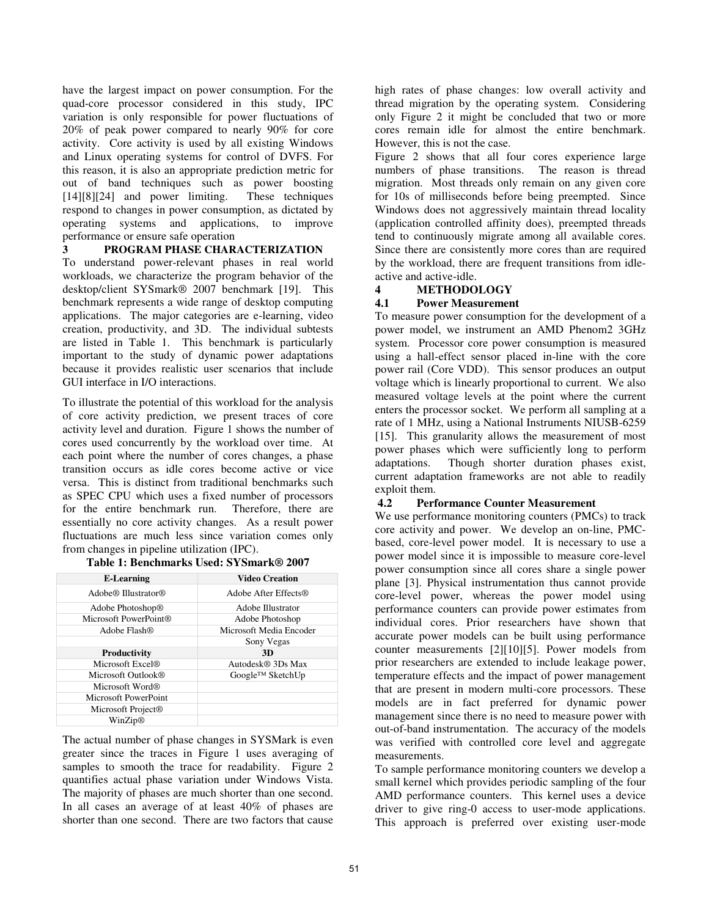have the largest impact on power consumption. For the quad-core processor considered in this study, IPC variation is only responsible for power fluctuations of 20% of peak power compared to nearly 90% for core activity. Core activity is used by all existing Windows and Linux operating systems for control of DVFS. For this reason, it is also an appropriate prediction metric for out of band techniques such as power boosting [14][8][24] and power limiting. These techniques respond to changes in power consumption, as dictated by operating systems and applications, to improve performance or ensure safe operation

#### **3 PROGRAM PHASE CHARACTERIZATION**

To understand power-relevant phases in real world workloads, we characterize the program behavior of the desktop/client SYSmark® 2007 benchmark [19]. This benchmark represents a wide range of desktop computing applications. The major categories are e-learning, video creation, productivity, and 3D. The individual subtests are listed in Table 1. This benchmark is particularly important to the study of dynamic power adaptations because it provides realistic user scenarios that include GUI interface in I/O interactions.

To illustrate the potential of this workload for the analysis of core activity prediction, we present traces of core activity level and duration. Figure 1 shows the number of cores used concurrently by the workload over time. At each point where the number of cores changes, a phase transition occurs as idle cores become active or vice versa. This is distinct from traditional benchmarks such as SPEC CPU which uses a fixed number of processors for the entire benchmark run. Therefore, there are essentially no core activity changes. As a result power fluctuations are much less since variation comes only from changes in pipeline utilization (IPC).

| <b>E-Learning</b>                           | <b>Video Creation</b>         |
|---------------------------------------------|-------------------------------|
| Adobe <sup>®</sup> Illustrator <sup>®</sup> | Adobe After Effects®          |
| Adobe Photoshop <sup>®</sup>                | Adobe Illustrator             |
| Microsoft PowerPoint®                       | Adobe Photoshop               |
| Adobe Flash <sup>®</sup>                    | Microsoft Media Encoder       |
|                                             | Sony Vegas                    |
| <b>Productivity</b>                         | 3D                            |
| Microsoft Excel <sup>®</sup>                | Autodesk <sup>®</sup> 3Ds Max |
| Microsoft Outlook®                          | Google™ SketchUp              |
| Microsoft Word®                             |                               |
| Microsoft PowerPoint                        |                               |
| Microsoft Project <sup>®</sup>              |                               |
| WinZip <sup>®</sup>                         |                               |

|  | Table 1: Benchmarks Used: SYSmark® 2007 |
|--|-----------------------------------------|
|  |                                         |

The actual number of phase changes in SYSMark is even greater since the traces in Figure 1 uses averaging of samples to smooth the trace for readability. Figure 2 quantifies actual phase variation under Windows Vista. The majority of phases are much shorter than one second. In all cases an average of at least 40% of phases are shorter than one second. There are two factors that cause high rates of phase changes: low overall activity and thread migration by the operating system. Considering only Figure 2 it might be concluded that two or more cores remain idle for almost the entire benchmark. However, this is not the case.

Figure 2 shows that all four cores experience large numbers of phase transitions. The reason is thread migration. Most threads only remain on any given core for 10s of milliseconds before being preempted. Since Windows does not aggressively maintain thread locality (application controlled affinity does), preempted threads tend to continuously migrate among all available cores. Since there are consistently more cores than are required by the workload, there are frequent transitions from idleactive and active-idle.

#### **4 METHODOLOGY**

#### **4.1 Power Measurement**

To measure power consumption for the development of a power model, we instrument an AMD Phenom2 3GHz system. Processor core power consumption is measured using a hall-effect sensor placed in-line with the core power rail (Core VDD). This sensor produces an output voltage which is linearly proportional to current. We also measured voltage levels at the point where the current enters the processor socket. We perform all sampling at a rate of 1 MHz, using a National Instruments NIUSB-6259 [15]. This granularity allows the measurement of most power phases which were sufficiently long to perform adaptations. Though shorter duration phases exist, current adaptation frameworks are not able to readily exploit them.

#### **4.2 Performance Counter Measurement**

We use performance monitoring counters (PMCs) to track core activity and power. We develop an on-line, PMCbased, core-level power model. It is necessary to use a power model since it is impossible to measure core-level power consumption since all cores share a single power plane [3]. Physical instrumentation thus cannot provide core-level power, whereas the power model using performance counters can provide power estimates from individual cores. Prior researchers have shown that accurate power models can be built using performance counter measurements [2][10][5]. Power models from prior researchers are extended to include leakage power, temperature effects and the impact of power management that are present in modern multi-core processors. These models are in fact preferred for dynamic power management since there is no need to measure power with out-of-band instrumentation. The accuracy of the models was verified with controlled core level and aggregate measurements.

To sample performance monitoring counters we develop a small kernel which provides periodic sampling of the four AMD performance counters. This kernel uses a device driver to give ring-0 access to user-mode applications. This approach is preferred over existing user-mode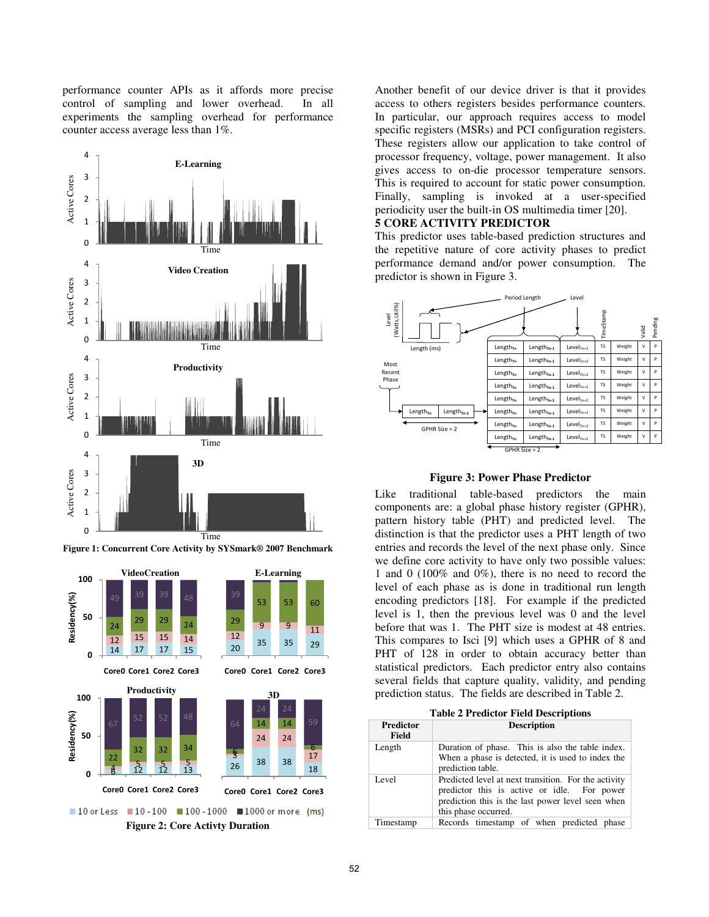performance counter APIs as it affords more precise control of sampling and lower overhead. In all experiments the sampling overhead for performance counter access average less than 1%.





**Figure 1: Concurrent Core Activity by SYSmark® 2007 Benchmark** 

Another benefit of our device driver is that it provides access to others registers besides performance counters. In particular, our approach requires access to model specific registers (MSRs) and PCI configuration registers. These registers allow our application to take control of processor frequency, voltage, power management. It also gives access to on-die processor temperature sensors. This is required to account for static power consumption. Finally, sampling is invoked at a user-specified periodicity user the built-in OS multimedia timer [20]. **5 CORE ACTIVITY PREDICTOR** 

This predictor uses table-based prediction structures and the repetitive nature of core activity phases to predict performance demand and/or power consumption. The predictor is shown in Figure 3.





Like traditional table-based predictors the main components are: a global phase history register (GPHR), pattern history table (PHT) and predicted level. The distinction is that the predictor uses a PHT length of two entries and records the level of the next phase only. Since we define core activity to have only two possible values: 1 and 0 (100% and 0%), there is no need to record the level of each phase as is done in traditional run length encoding predictors [18]. For example if the predicted level is 1, then the previous level was 0 and the level before that was 1. The PHT size is modest at 48 entries. This compares to Isci [9] which uses a GPHR of 8 and PHT of 128 in order to obtain accuracy better than statistical predictors. Each predictor entry also contains several fields that capture quality, validity, and pending prediction status. The fields are described in Table 2.

**Table 2 Predictor Field Descriptions** 

| <b>Predictor</b><br><b>Field</b> | <b>Description</b>                                                                                                                                                               |
|----------------------------------|----------------------------------------------------------------------------------------------------------------------------------------------------------------------------------|
| Length                           | Duration of phase. This is also the table index.<br>When a phase is detected, it is used to index the<br>prediction table.                                                       |
| Level                            | Predicted level at next transition. For the activity<br>predictor this is active or idle. For power<br>prediction this is the last power level seen when<br>this phase occurred. |
| Timestamp                        | Records timestamp of when predicted phase                                                                                                                                        |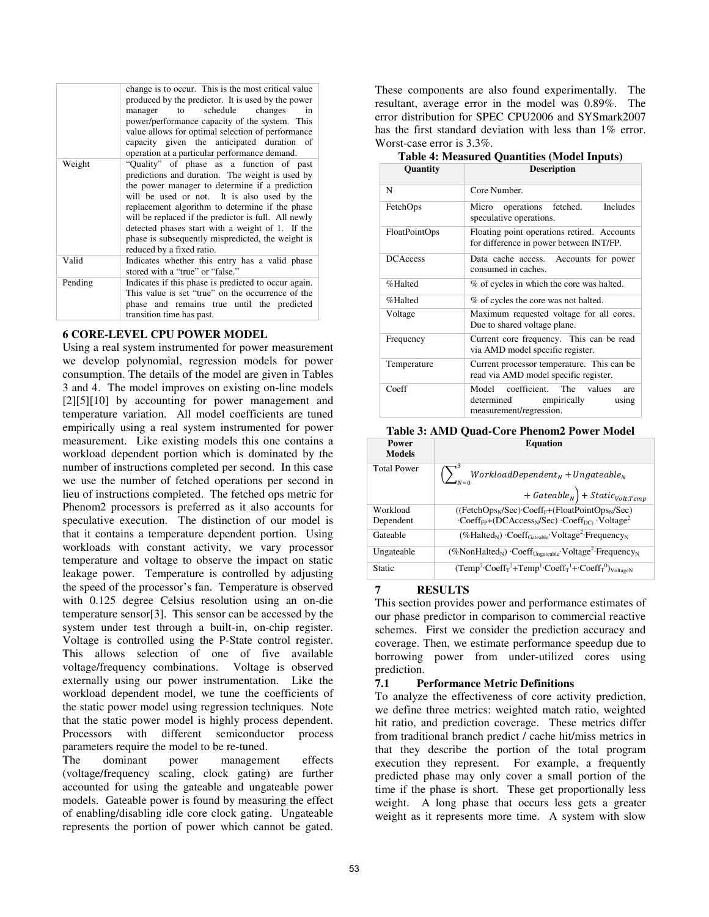|         | change is to occur. This is the most critical value<br>produced by the predictor. It is used by the power<br>schedule changes<br>in<br>to to<br>manager<br>power/performance capacity of the system. This<br>value allows for optimal selection of performance<br>capacity given the anticipated duration of<br>operation at a particular performance demand.                                                                                 |
|---------|-----------------------------------------------------------------------------------------------------------------------------------------------------------------------------------------------------------------------------------------------------------------------------------------------------------------------------------------------------------------------------------------------------------------------------------------------|
| Weight  | "Quality" of phase as a function of past<br>predictions and duration. The weight is used by<br>the power manager to determine if a prediction<br>will be used or not. It is also used by the<br>replacement algorithm to determine if the phase<br>will be replaced if the predictor is full. All newly<br>detected phases start with a weight of 1. If the<br>phase is subsequently mispredicted, the weight is<br>reduced by a fixed ratio. |
| Valid   | Indicates whether this entry has a valid phase<br>stored with a "true" or "false."                                                                                                                                                                                                                                                                                                                                                            |
| Pending | Indicates if this phase is predicted to occur again.<br>This value is set "true" on the occurrence of the<br>phase and remains true until the predicted<br>transition time has past.                                                                                                                                                                                                                                                          |

#### **6 CORE-LEVEL CPU POWER MODEL**

Using a real system instrumented for power measurement we develop polynomial, regression models for power consumption. The details of the model are given in Tables 3 and 4. The model improves on existing on-line models [2][5][10] by accounting for power management and temperature variation. All model coefficients are tuned empirically using a real system instrumented for power measurement. Like existing models this one contains a workload dependent portion which is dominated by the number of instructions completed per second. In this case we use the number of fetched operations per second in lieu of instructions completed. The fetched ops metric for Phenom2 processors is preferred as it also accounts for speculative execution. The distinction of our model is that it contains a temperature dependent portion. Using workloads with constant activity, we vary processor temperature and voltage to observe the impact on static leakage power. Temperature is controlled by adjusting the speed of the processor's fan. Temperature is observed with 0.125 degree Celsius resolution using an on-die temperature sensor[3]. This sensor can be accessed by the system under test through a built-in, on-chip register. Voltage is controlled using the P-State control register. This allows selection of one of five available voltage/frequency combinations. Voltage is observed externally using our power instrumentation. Like the workload dependent model, we tune the coefficients of the static power model using regression techniques. Note that the static power model is highly process dependent. Processors with different semiconductor process parameters require the model to be re-tuned.

The dominant power management effects (voltage/frequency scaling, clock gating) are further accounted for using the gateable and ungateable power models. Gateable power is found by measuring the effect of enabling/disabling idle core clock gating. Ungateable represents the portion of power which cannot be gated.

These components are also found experimentally. The resultant, average error in the model was 0.89%. The error distribution for SPEC CPU2006 and SYSmark2007 has the first standard deviation with less than 1% error. Worst-case error is 3.3%.

|  |  | <b>Table 4: Measured Quantities (Model Inputs)</b> |  |  |
|--|--|----------------------------------------------------|--|--|
|--|--|----------------------------------------------------|--|--|

| Quantity        | <b>Description</b>                                                                                 |  |  |  |
|-----------------|----------------------------------------------------------------------------------------------------|--|--|--|
| N               | Core Number.                                                                                       |  |  |  |
| FetchOps        | <b>Includes</b><br>Micro operations fetched.<br>speculative operations.                            |  |  |  |
| FloatPointOps   | Floating point operations retired. Accounts<br>for difference in power between INT/FP.             |  |  |  |
| <b>DCAccess</b> | Data cache access. Accounts for power<br>consumed in caches.                                       |  |  |  |
| %Halted         | % of cycles in which the core was halted.                                                          |  |  |  |
| %Halted         | % of cycles the core was not halted.                                                               |  |  |  |
| Voltage         | Maximum requested voltage for all cores.<br>Due to shared voltage plane.                           |  |  |  |
| Frequency       | Current core frequency. This can be read<br>via AMD model specific register.                       |  |  |  |
| Temperature     | Current processor temperature. This can be<br>read via AMD model specific register.                |  |  |  |
| Coeff           | Model coefficient. The values<br>are<br>determined empirically<br>using<br>measurement/regression. |  |  |  |

#### **Table 3: AMD Quad-Core Phenom2 Power Model**

| Power<br><b>Models</b> | <b>Equation</b>                                                                                                            |  |  |
|------------------------|----------------------------------------------------------------------------------------------------------------------------|--|--|
| <b>Total Power</b>     | $\left(\,\right)$ WorkloadDependent <sub>N</sub> + Ungateable <sub>N</sub><br>$+ \; Gateable_N \Big) + Static_{Volt,Temp}$ |  |  |
|                        |                                                                                                                            |  |  |
| Workload               | ((FetchOps <sub>N</sub> /Sec)·Coeff <sub>F</sub> +(FloatPointOps <sub>N</sub> /Sec)                                        |  |  |
| Dependent              | $\cdot$ Coeff <sub>FP</sub> +(DCAccess <sub>N</sub> /Sec) $\cdot$ Coeff <sub>DC</sub> $\cdot$ Voltage <sup>2</sup>         |  |  |
| Gateable               | $(\%Hald_N) \cdot Coeff_{Gateable} \cdot Voltage^2 \cdot Frequency_N$                                                      |  |  |
| Ungateable             | (%NonHalted <sub>N</sub> ) Coeff <sub>Ungateable</sub> Voltage <sup>2</sup> Frequency <sub>N</sub>                         |  |  |
| Static                 | $(Temp^2 \cdot Coeff_T^2 + Temp^1 \cdot Coeff_T^1 + Coeff_T^0)_{VoltaeeN}$                                                 |  |  |

#### **7 RESULTS**

This section provides power and performance estimates of our phase predictor in comparison to commercial reactive schemes. First we consider the prediction accuracy and coverage. Then, we estimate performance speedup due to borrowing power from under-utilized cores using prediction.

#### **7.1 Performance Metric Definitions**

To analyze the effectiveness of core activity prediction, we define three metrics: weighted match ratio, weighted hit ratio, and prediction coverage. These metrics differ from traditional branch predict / cache hit/miss metrics in that they describe the portion of the total program execution they represent. For example, a frequently predicted phase may only cover a small portion of the time if the phase is short. These get proportionally less weight. A long phase that occurs less gets a greater weight as it represents more time. A system with slow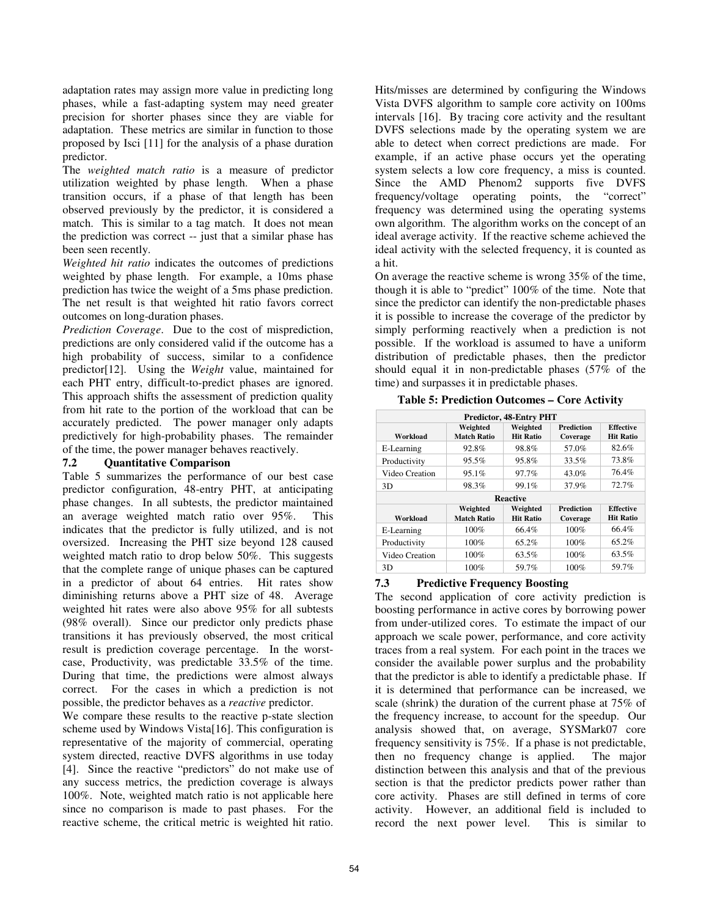adaptation rates may assign more value in predicting long phases, while a fast-adapting system may need greater precision for shorter phases since they are viable for adaptation. These metrics are similar in function to those proposed by Isci [11] for the analysis of a phase duration predictor.

The *weighted match ratio* is a measure of predictor utilization weighted by phase length. When a phase transition occurs, if a phase of that length has been observed previously by the predictor, it is considered a match. This is similar to a tag match. It does not mean the prediction was correct -- just that a similar phase has been seen recently.

*Weighted hit ratio* indicates the outcomes of predictions weighted by phase length. For example, a 10ms phase prediction has twice the weight of a 5ms phase prediction. The net result is that weighted hit ratio favors correct outcomes on long-duration phases.

*Prediction Coverage*. Due to the cost of misprediction, predictions are only considered valid if the outcome has a high probability of success, similar to a confidence predictor[12]. Using the *Weight* value, maintained for each PHT entry, difficult-to-predict phases are ignored. This approach shifts the assessment of prediction quality from hit rate to the portion of the workload that can be accurately predicted. The power manager only adapts predictively for high-probability phases. The remainder of the time, the power manager behaves reactively.

#### **7.2 Quantitative Comparison**

Table 5 summarizes the performance of our best case predictor configuration, 48-entry PHT, at anticipating phase changes. In all subtests, the predictor maintained an average weighted match ratio over 95%. This indicates that the predictor is fully utilized, and is not oversized. Increasing the PHT size beyond 128 caused weighted match ratio to drop below 50%. This suggests that the complete range of unique phases can be captured in a predictor of about 64 entries. Hit rates show diminishing returns above a PHT size of 48. Average weighted hit rates were also above 95% for all subtests (98% overall). Since our predictor only predicts phase transitions it has previously observed, the most critical result is prediction coverage percentage. In the worstcase, Productivity, was predictable 33.5% of the time. During that time, the predictions were almost always correct. For the cases in which a prediction is not possible, the predictor behaves as a *reactive* predictor.

We compare these results to the reactive p-state slection scheme used by Windows Vista[16]. This configuration is representative of the majority of commercial, operating system directed, reactive DVFS algorithms in use today [4]. Since the reactive "predictors" do not make use of any success metrics, the prediction coverage is always 100%. Note, weighted match ratio is not applicable here since no comparison is made to past phases. For the reactive scheme, the critical metric is weighted hit ratio. Hits/misses are determined by configuring the Windows Vista DVFS algorithm to sample core activity on 100ms intervals [16]. By tracing core activity and the resultant DVFS selections made by the operating system we are able to detect when correct predictions are made. For example, if an active phase occurs yet the operating system selects a low core frequency, a miss is counted. Since the AMD Phenom2 supports five DVFS frequency/voltage operating points, the "correct" frequency was determined using the operating systems own algorithm. The algorithm works on the concept of an ideal average activity. If the reactive scheme achieved the ideal activity with the selected frequency, it is counted as a hit.

On average the reactive scheme is wrong 35% of the time, though it is able to "predict" 100% of the time. Note that since the predictor can identify the non-predictable phases it is possible to increase the coverage of the predictor by simply performing reactively when a prediction is not possible. If the workload is assumed to have a uniform distribution of predictable phases, then the predictor should equal it in non-predictable phases (57% of the time) and surpasses it in predictable phases.

**Table 5: Prediction Outcomes – Core Activity** 

| Predictor, 48-Entry PHT |                                |                              |                        |                                      |  |
|-------------------------|--------------------------------|------------------------------|------------------------|--------------------------------------|--|
| Workload                | Weighted<br><b>Match Ratio</b> | Weighted<br><b>Hit Ratio</b> | Prediction<br>Coverage | <b>Effective</b><br><b>Hit Ratio</b> |  |
| E-Learning              | 92.8%                          | 98.8%                        | 57.0%                  | 82.6%                                |  |
| Productivity            | 95.5%                          | 95.8%                        | 33.5%                  | 73.8%                                |  |
| Video Creation          | 95.1%                          | 97.7%                        | 43.0%                  | 76.4%                                |  |
| 3D                      | 98.3%                          | 99.1%                        | 37.9%                  | 72.7%                                |  |
| <b>Reactive</b>         |                                |                              |                        |                                      |  |
| Workload                | Weighted<br><b>Match Ratio</b> | Weighted<br><b>Hit Ratio</b> | Prediction<br>Coverage | <b>Effective</b><br><b>Hit Ratio</b> |  |
| E-Learning              | 100%                           | 66.4%                        | 100%                   | 66.4%                                |  |
| Productivity            | 100%                           | 65.2%                        | 100%                   | 65.2%                                |  |
| Video Creation          | 100%                           | 63.5%                        | 100%                   | 63.5%                                |  |
| 3D                      | 100%                           | 59.7%                        | 100%                   | 59.7%                                |  |

#### **7.3 Predictive Frequency Boosting**

The second application of core activity prediction is boosting performance in active cores by borrowing power from under-utilized cores. To estimate the impact of our approach we scale power, performance, and core activity traces from a real system. For each point in the traces we consider the available power surplus and the probability that the predictor is able to identify a predictable phase. If it is determined that performance can be increased, we scale (shrink) the duration of the current phase at 75% of the frequency increase, to account for the speedup. Our analysis showed that, on average, SYSMark07 core frequency sensitivity is 75%. If a phase is not predictable, then no frequency change is applied. The major distinction between this analysis and that of the previous section is that the predictor predicts power rather than core activity. Phases are still defined in terms of core activity. However, an additional field is included to record the next power level. This is similar to